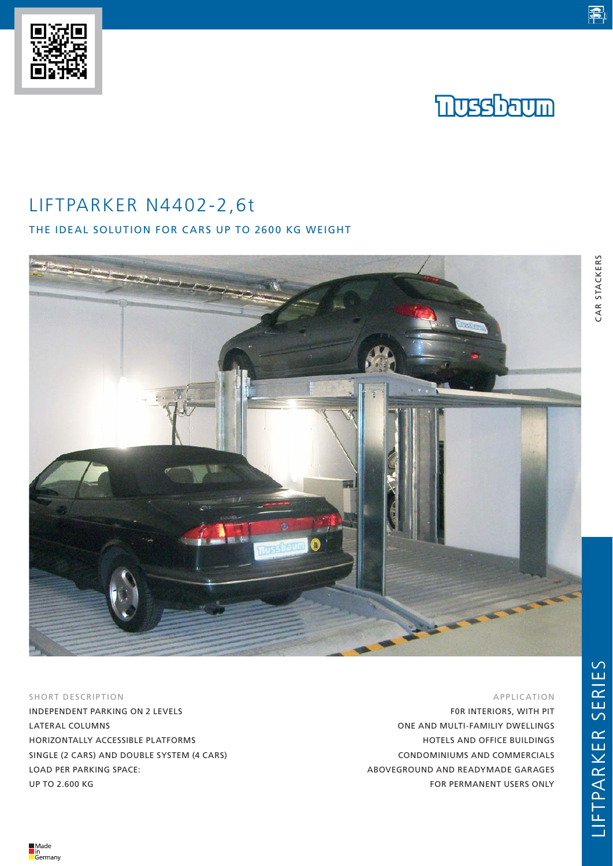LIFTPARKER N4402-2,6t

THE IDEAL SOLUTION FOR CARS UP TO 2600 KG WEIGHT



SHORT DESCRIPTION

INDEPENDENT PARKING ON 2 LEVELS LATERAL COLUMNS HORIZONTALLY ACCESSIBLE PLATFORMS SINGLE (2 CARS) AND DOUBLE SYSTEM (4 CARS) LOAD PER PARKING SPACE: UP TO 2.600 KG

APPLICATION

F0R INTERIORS, WITH PIT ONE AND MULTI-FAMILIY DWELLINGS HOTELS AND OFFICE BUILDINGS CONDOMINIUMS AND COMMERCIALS ABOVEGROUND AND READYMADE GARAGES FOR PERMANENT USERS ONLY

電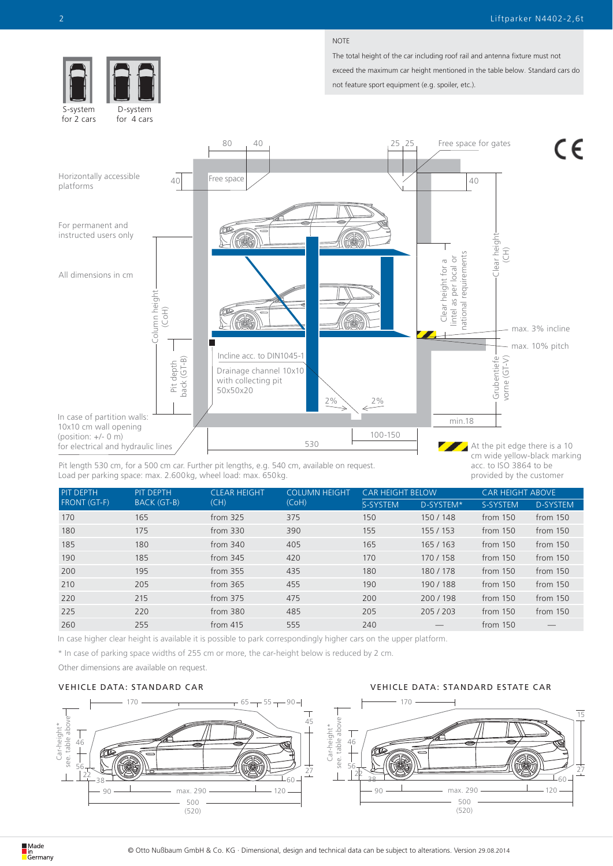$\epsilon$ 

#### NOTE

The total height of the car including roof rail and antenna fixture must not exceed the maximum car height mentioned in the table below. Standard cars do not feature sport equipment (e.g. spoiler, etc.).



In case of partition walls: 10x10 cm wall opening (position: +/- 0 m) for electrical and hydraulic lines

Load per parking space: max. 2.600kg, wheel load: max. 650kg. Pit length 530 cm, for a 500 cm car. Further pit lengths, e.g. 540 cm, available on request.

At the pit edge there is a 10 Z cm wide yellow-black marking acc. to ISO 3864 to be provided by the customer

vorne (GT-V)

 $\widehat{\Xi}$ 

max. 10% pitch

max. 3% incline

min.18

| <b>PIT DEPTH</b>    | <b>PIT DEPTH</b> | <b>CLEAR HEIGHT</b><br>(CH) | <b>COLUMN HEIGHT</b><br>(CoH) | <b>CAR HEIGHT BELOW</b> |           | <b>CAR HEIGHT ABOVE</b> |                 |
|---------------------|------------------|-----------------------------|-------------------------------|-------------------------|-----------|-------------------------|-----------------|
| <b>FRONT (GT-F)</b> | BACK (GT-B)      |                             |                               | S-SYSTEM                | D-SYSTEM* | S-SYSTEM                | <b>D-SYSTEM</b> |
| 170                 | 165              | from $325$                  | 375                           | 150                     | 150/148   | from 150                | from 150        |
| 180                 | 175              | from $330$                  | 390                           | 155                     | 155 / 153 | from 150                | from 150        |
| 185                 | 180              | from $340$                  | 405                           | 165                     | 165 / 163 | from 150                | from 150        |
| 190                 | 185              | from $345$                  | 420                           | 170                     | 170/158   | from 150                | from 150        |
| 200                 | 195              | from $355$                  | 435                           | 180                     | 180/178   | from 150                | from 150        |
| 210                 | 205              | from $365$                  | 455                           | 190                     | 190/188   | from 150                | from 150        |
| 220                 | 215              | from $375$                  | 475                           | 200                     | 200/198   | from 150                | from 150        |
| 225                 | 220              | from 380                    | 485                           | 205                     | 205/203   | from 150                | from 150        |
| 260                 | 255              | from $415$                  | 555                           | 240                     |           | from $150$              |                 |

530

100-150

In case higher clear height is available it is possible to park correspondingly higher cars on the upper platform.

\* In case of parking space widths of 255 cm or more, the car-height below is reduced by 2 cm.

Other dimensions are available on request.

#### VEHICLE DATA: STANDARD CAR VEHICLE DATA: STANDARD ESTATE CAR



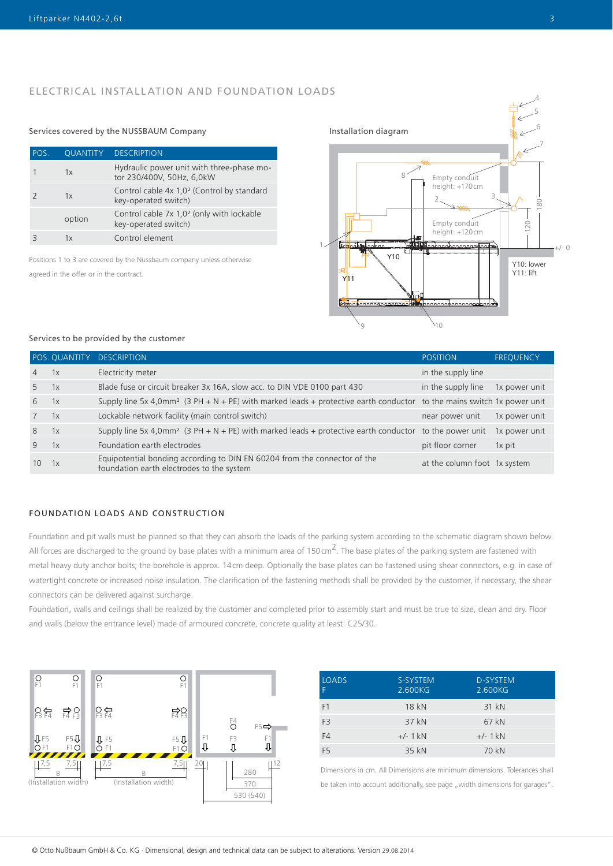## ELECTRICAL INSTALLATION AND FOUNDATION LOADS

## Services covered by the NUSSBAUM Company Installation diagram

| POS. | <b>QUANTITY</b> | <b>DESCRIPTION</b>                                                             |
|------|-----------------|--------------------------------------------------------------------------------|
|      | 1x              | Hydraulic power unit with three-phase mo-<br>tor 230/400V, 50Hz, 6,0kW         |
|      | 1x              | Control cable 4x 1,0 <sup>2</sup> (Control by standard<br>key-operated switch) |
|      | option          | Control cable 7x 1,0 <sup>2</sup> (only with lockable<br>key-operated switch)  |
|      | ΊY              | Control element                                                                |

Positions 1 to 3 are covered by the Nussbaum company unless otherwise agreed in the offer or in the contract.



#### Services to be provided by the customer

|                 |    | POS. QUANTITY DESCRIPTION                                                                                                          | <b>POSITION</b>              | <b>FREQUENCY</b> |
|-----------------|----|------------------------------------------------------------------------------------------------------------------------------------|------------------------------|------------------|
| $\overline{4}$  | 1x | Electricity meter                                                                                                                  | in the supply line           |                  |
| 5               | 1x | Blade fuse or circuit breaker 3x 16A, slow acc. to DIN VDE 0100 part 430                                                           | in the supply line           | 1x power unit    |
| 6               | 1x | Supply line 5x 4,0mm <sup>2</sup> (3 PH + N + PE) with marked leads + protective earth conductor to the mains switch 1x power unit |                              |                  |
| $7^{\circ}$     | 1x | Lockable network facility (main control switch)                                                                                    | near power unit              | 1x power unit    |
| 8               | 1x | Supply line 5x 4,0mm <sup>2</sup> (3 PH + N + PE) with marked leads + protective earth conductor to the power unit                 |                              | 1x power unit    |
| 9               | 1x | Foundation earth electrodes                                                                                                        | pit floor corner             | 1x pit           |
| 10 <sup>°</sup> | 1x | Equipotential bonding according to DIN EN 60204 from the connector of the<br>foundation earth electrodes to the system             | at the column foot 1x system |                  |

## FOUNDATION LOADS AND CONSTRUCTION

Foundation and pit walls must be planned so that they can absorb the loads of the parking system according to the schematic diagram shown below. All forces are discharged to the ground by base plates with a minimum area of 150cm<sup>2</sup>. The base plates of the parking system are fastened with metal heavy duty anchor bolts; the borehole is approx. 14cm deep. Optionally the base plates can be fastened using shear connectors, e.g. in case of watertight concrete or increased noise insulation. The clarification of the fastening methods shall be provided by the customer, if necessary, the shear connectors can be delivered against surcharge.

Foundation, walls and ceilings shall be realized by the customer and completed prior to assembly start and must be true to size, clean and dry. Floor and walls (below the entrance level) made of armoured concrete, concrete quality at least: C25/30.



| <b>LOADS</b><br>F | S-SYSTEM<br>2.600KG | <b>D-SYSTEM</b><br>2.600KG |
|-------------------|---------------------|----------------------------|
| F <sub>1</sub>    | 18 kN               | 31 kN                      |
| F <sub>3</sub>    | 37 kN               | 67 kN                      |
| F4                | $+/- 1$ kN          | $+/- 1$ kN                 |
| F <sub>5</sub>    | 35 kN               | 70 kN                      |

Dimensions in cm. All Dimensions are minimum dimensions. Tolerances shall be taken into account additionally, see page "width dimensions for garages".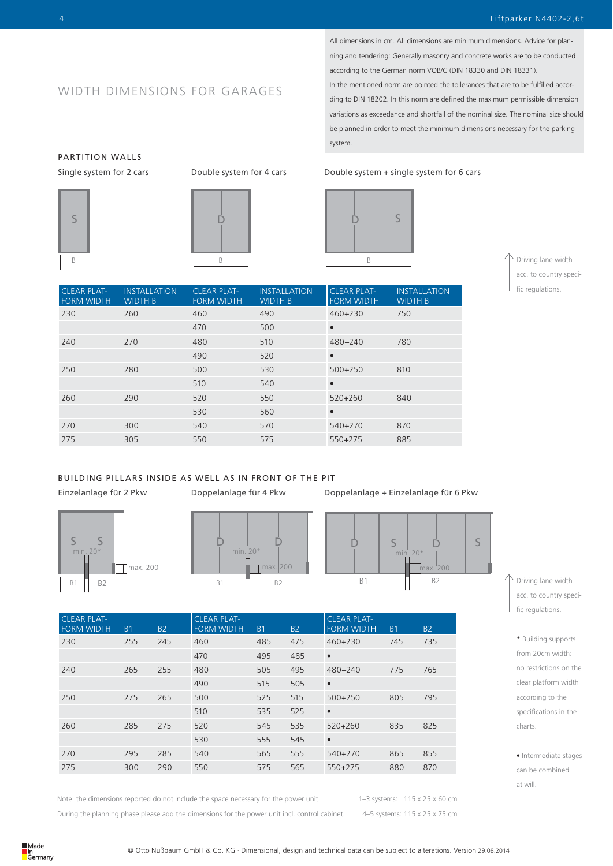All dimensions in cm. All dimensions are minimum dimensions. Advice for planning and tendering: Generally masonry and concrete works are to be conducted according to the German norm VOB/C (DIN 18330 and DIN 18331). In the mentioned norm are pointed the tollerances that are to be fulfilled accor-

ding to DIN 18202. In this norm are defined the maximum permissible dimension variations as exceedance and shortfall of the nominal size. The nominal size should be planned in order to meet the minimum dimensions necessary for the parking system.

# WIDTH DIMENSIONS FOR GARAGES

#### Single system for 2 cars Double system for 4 cars Double system + single system for 6 cars



**INSTALLATION** WIDTH B

CLEAR PLAT-FORM WIDTH

S

PARTITION WALLS



D

CLEAR PLAT-FORM WIDTH

 $min$  $20$ max. 200 B1 B2 B1 B2 B1 B2  $S$   $\begin{array}{|c|c|c|c|c|} \hline \multicolumn{1}{c|}{ } S & S \\ \hline \end{array}$ 

CLEAR PLAT-FORM WIDTH B1 B2 CLEAR PLAT-FORM WIDTH B1 B2 CLEAR PLAT-FORM WIDTH B1 B2 230 255 245 460 485 475 460+230 745 735 470 495 485 • 240 265 255 480 505 495 480+240 775 765 490 515 505 • 250 275 265 500 525 515 500+250 805 795 510 535 525 • 260 285 275 520 545 535 520+260 835 825 530 555 545 • 270 295 285 540 565 555 540+270 865 855 275 300 290 550 575 565 550+275 880 870

max. 200

WIDTH B

470 500 •

490 520 •

240 270 480 510 480+240 780

250 280 500 530 500+250 810

Note: the dimensions reported do not include the space necessary for the power unit.

max. 200

During the planning phase please add the dimensions for the power unit incl. control cabinet.

1–3 systems: 115 x 25 x 60 cm 4–5 systems: 115 x 25 x 75 cm

- $\backslash$  Driving lane width acc. to country specific regulations.
- \* Building supports from 20cm width: no restrictions on the clear platform width according to the specifications in the charts.
- Intermediate stages can be combined at will.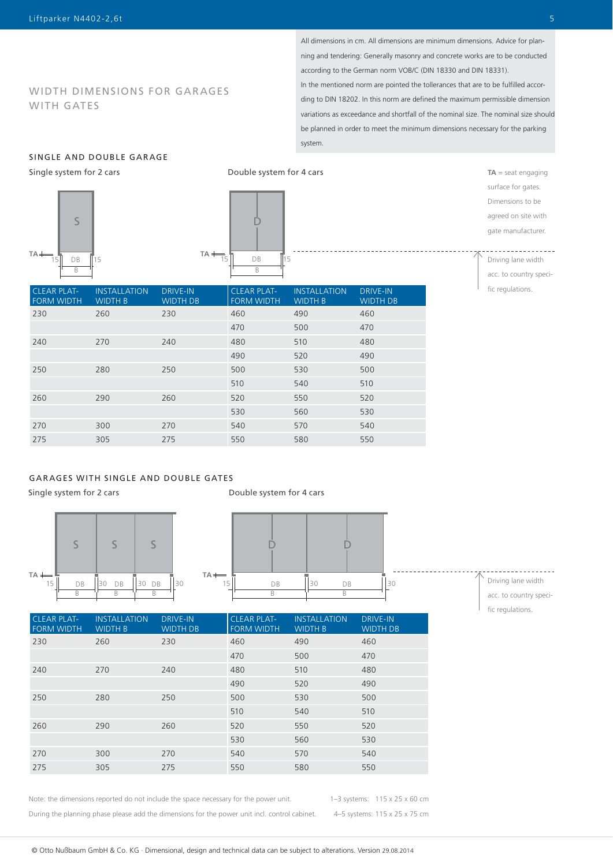## WIDTH DIMENSIONS FOR GARAGES WITH GATES

All dimensions in cm. All dimensions are minimum dimensions. Advice for planning and tendering: Generally masonry and concrete works are to be conducted according to the German norm VOB/C (DIN 18330 and DIN 18331). In the mentioned norm are pointed the tollerances that are to be fulfilled according to DIN 18202. In this norm are defined the maximum permissible dimension variations as exceedance and shortfall of the nominal size. The nominal size should be planned in order to meet the minimum dimensions necessary for the parking system.

## SINGLE AND DOUBLE GARAGE

Single system for 2 cars





Double system for 4 cars

surface for gates. Dimensions to be agreed on site with gate manufacturer.  $\sim$   $\sim$   $\sim$   $\sim$ Driving lane width

**TA** = seat engaging

acc. to country specific regulations.

| <b>CLEAR PLAT-</b><br><b>FORM WIDTH</b> | <b>INSTALLATION</b><br><b>WIDTH B</b> | <b>DRIVE-IN</b><br><b>WIDTH DB</b> | <b>CLEAR PLAT-</b><br><b>FORM WIDTH</b> | <b>INSTALLATION</b><br><b>WIDTH B</b> | <b>DRIVE-IN</b><br><b>WIDTH DB</b> |
|-----------------------------------------|---------------------------------------|------------------------------------|-----------------------------------------|---------------------------------------|------------------------------------|
| 230                                     | 260                                   | 230                                | 460                                     | 490                                   | 460                                |
|                                         |                                       |                                    | 470                                     | 500                                   | 470                                |
| 240                                     | 270                                   | 240                                | 480                                     | 510                                   | 480                                |
|                                         |                                       |                                    | 490                                     | 520                                   | 490                                |
| 250                                     | 280                                   | 250                                | 500                                     | 530                                   | 500                                |
|                                         |                                       |                                    | 510                                     | 540                                   | 510                                |
| 260                                     | 290                                   | 260                                | 520                                     | 550                                   | 520                                |
|                                         |                                       |                                    | 530                                     | 560                                   | 530                                |
| 270                                     | 300                                   | 270                                | 540                                     | 570                                   | 540                                |
| 275                                     | 305                                   | 275                                | 550                                     | 580                                   | 550                                |

## GARAGES WITH SINGLE AND DOUBLE GATES

Single system for 2 cars





Driving lane width acc. to country specific regulations.

| <b>CLEAR PLAT-</b><br><b>FORM WIDTH</b> | <b>INSTALLATION</b><br><b>WIDTH B</b> | <b>DRIVE-IN</b><br><b>WIDTH DB</b> | <b>CLEAR PLAT-</b><br><b>FORM WIDTH</b> | <b>INSTALLATION</b><br><b>WIDTH B</b> | <b>DRIVE-IN</b><br><b>WIDTH DB</b> |
|-----------------------------------------|---------------------------------------|------------------------------------|-----------------------------------------|---------------------------------------|------------------------------------|
| 230                                     | 260                                   | 230                                | 460                                     | 490                                   | 460                                |
|                                         |                                       |                                    | 470                                     | 500                                   | 470                                |
| 240                                     | 270                                   | 240                                | 480                                     | 510                                   | 480                                |
|                                         |                                       |                                    | 490                                     | 520                                   | 490                                |
| 250                                     | 280                                   | 250                                | 500                                     | 530                                   | 500                                |
|                                         |                                       |                                    | 510                                     | 540                                   | 510                                |
| 260                                     | 290                                   | 260                                | 520                                     | 550                                   | 520                                |
|                                         |                                       |                                    | 530                                     | 560                                   | 530                                |
| 270                                     | 300                                   | 270                                | 540                                     | 570                                   | 540                                |
| 275                                     | 305                                   | 275                                | 550                                     | 580                                   | 550                                |

Note: the dimensions reported do not include the space necessary for the power unit. During the planning phase please add the dimensions for the power unit incl. control cabinet. 1–3 systems: 115 x 25 x 60 cm 4–5 systems: 115 x 25 x 75 cm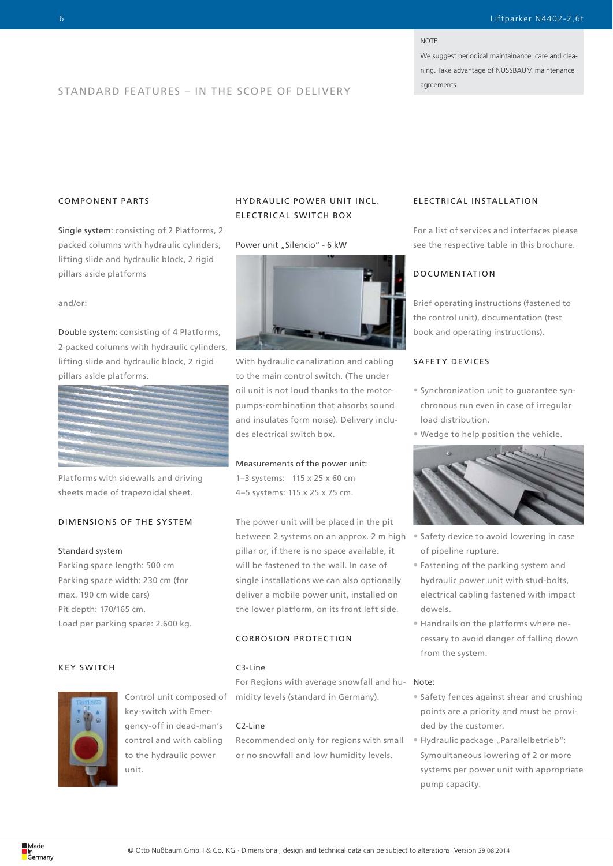#### **NOTE**

We suggest periodical maintainance, care and cleaning. Take advantage of NUSSBAUM maintenance

# agreements. STANDARD FEATURES – IN THE SCOPE OF DELIVERY

## COMPONENT PARTS

Single system: consisting of 2 Platforms, 2 packed columns with hydraulic cylinders, lifting slide and hydraulic block, 2 rigid pillars aside platforms

and/or:

Double system: consisting of 4 Platforms, 2 packed columns with hydraulic cylinders, lifting slide and hydraulic block, 2 rigid pillars aside platforms.



Platforms with sidewalls and driving sheets made of trapezoidal sheet.

## DIMENSIONS OF THE SYSTEM

#### Standard system

Parking space length: 500 cm Parking space width: 230 cm (for max. 190 cm wide cars) Pit depth: 170/165 cm. Load per parking space: 2.600 kg.

### KEY SWITCH



Control unit composed of key-switch with Emergency-off in dead-man's control and with cabling to the hydraulic power unit.

## HYDR AULIC POWER UNIT INCL. ELECTRICAL SWITCH BOX

#### Power unit "Silencio" - 6 kW



With hydraulic canalization and cabling to the main control switch. (The under oil unit is not loud thanks to the motorpumps-combination that absorbs sound and insulates form noise). Delivery includes electrical switch box.

#### Measurements of the power unit:

1–3 systems: 115 x 25 x 60 cm 4–5 systems: 115 x 25 x 75 cm.

The power unit will be placed in the pit between 2 systems on an approx. 2 m high pillar or, if there is no space available, it will be fastened to the wall. In case of single installations we can also optionally deliver a mobile power unit, installed on the lower platform, on its front left side.

## CORROSION PROTECTION

## C3-Line

For Regions with average snowfall and humidity levels (standard in Germany).

#### C2-Line

Recommended only for regions with small or no snowfall and low humidity levels.

#### ELECTRICAL INSTALLATION

For a list of services and interfaces please see the respective table in this brochure.

## DOCUMENTATION

Brief operating instructions (fastened to the control unit), documentation (test book and operating instructions).

### SAFETY DEVICES

- Synchronization unit to guarantee synchronous run even in case of irregular load distribution.
- Wedge to help position the vehicle.



- Safety device to avoid lowering in case of pipeline rupture.
- Fastening of the parking system and hydraulic power unit with stud-bolts, electrical cabling fastened with impact dowels.
- Handrails on the platforms where necessary to avoid danger of falling down from the system.

#### Note:

- Safety fences against shear and crushing points are a priority and must be provided by the customer.
- Hydraulic package "Parallelbetrieb": Symoultaneous lowering of 2 or more systems per power unit with appropriate pump capacity.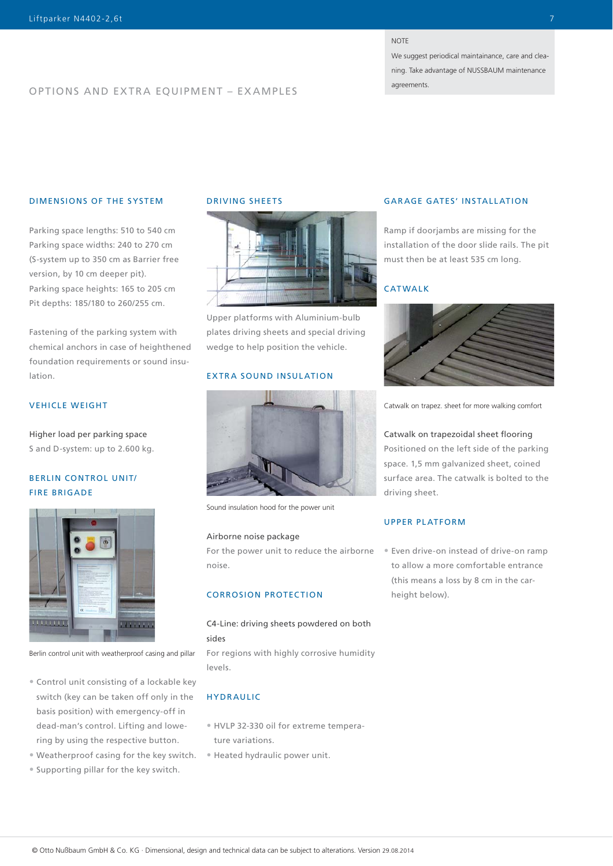#### **NOTE**

We suggest periodical maintainance, care and cleaning. Take advantage of NUSSBAUM maintenance

agreements.

## OPTIONS AND EXTRA EQUIPMENT – EXAMPLES

## DIMENSIONS OF THE SYSTEM

Parking space lengths: 510 to 540 cm Parking space widths: 240 to 270 cm (S-system up to 350 cm as Barrier free version, by 10 cm deeper pit). Parking space heights: 165 to 205 cm Pit depths: 185/180 to 260/255 cm.

Fastening of the parking system with chemical anchors in case of heighthened foundation requirements or sound insulation.

## VEHICLE WEIGHT

Higher load per parking space S and D-system: up to 2.600 kg.

## BERLIN CONTROL UNIT/ FIRE BRIGADE



Berlin control unit with weatherproof casing and pillar

- Control unit consisting of a lockable key switch (key can be taken off only in the basis position) with emergency-off in dead-man's control. Lifting and lowering by using the respective button.
- 
- Supporting pillar for the key switch.

## DRIVING SHEETS



Upper platforms with Aluminium-bulb plates driving sheets and special driving wedge to help position the vehicle.

## EXTRA SOUND INSULATION



Sound insulation hood for the power unit

#### Airborne noise package

For the power unit to reduce the airborne noise.

## CORROSION PROTECTION

C4-Line: driving sheets powdered on both sides For regions with highly corrosive humidity

### **HYDRAULIC**

levels.

- HVLP 32-330 oil for extreme temperature variations.
- Weatherproof casing for the key switch. Heated hydraulic power unit.

## GARAGE GATES' INSTALLATION

Ramp if doorjambs are missing for the installation of the door slide rails. The pit must then be at least 535 cm long.

## CATWALK



Catwalk on trapez. sheet for more walking comfort

Catwalk on trapezoidal sheet flooring Positioned on the left side of the parking space. 1,5 mm galvanized sheet, coined surface area. The catwalk is bolted to the

### UPPER PLATFORM

driving sheet.

• Even drive-on instead of drive-on ramp to allow a more comfortable entrance (this means a loss by 8 cm in the carheight below).